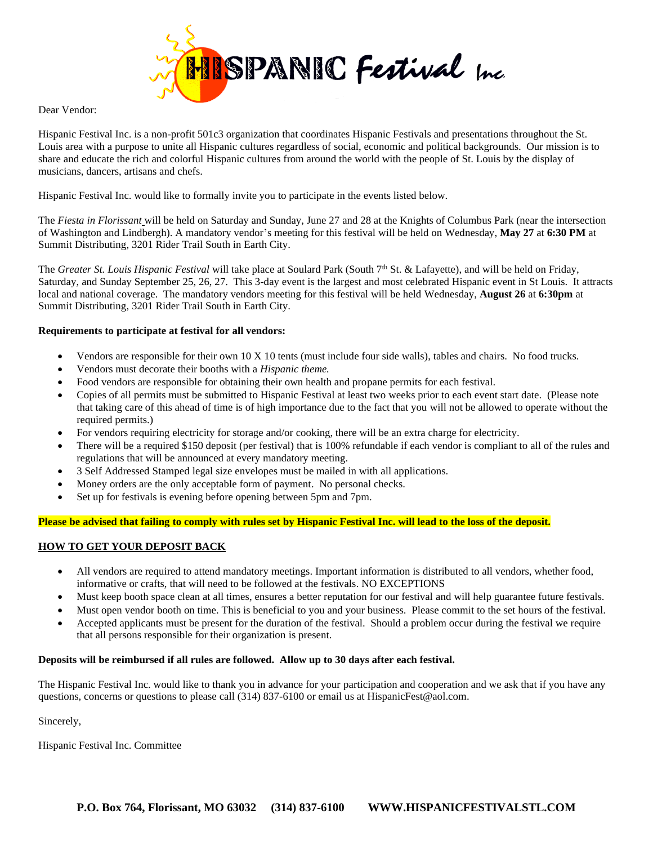

### Dear Vendor:

Hispanic Festival Inc. is a non-profit 501c3 organization that coordinates Hispanic Festivals and presentations throughout the St. Louis area with a purpose to unite all Hispanic cultures regardless of social, economic and political backgrounds. Our mission is to share and educate the rich and colorful Hispanic cultures from around the world with the people of St. Louis by the display of musicians, dancers, artisans and chefs.

Hispanic Festival Inc. would like to formally invite you to participate in the events listed below.

The *Fiesta in Florissant* will be held on Saturday and Sunday, June 27 and 28 at the Knights of Columbus Park (near the intersection of Washington and Lindbergh). A mandatory vendor's meeting for this festival will be held on Wednesday, **May 27** at **6:30 PM** at Summit Distributing, 3201 Rider Trail South in Earth City.

The *Greater St. Louis Hispanic Festival* will take place at Soulard Park (South 7<sup>th</sup> St. & Lafayette), and will be held on Friday, Saturday, and Sunday September 25, 26, 27. This 3-day event is the largest and most celebrated Hispanic event in St Louis. It attracts local and national coverage. The mandatory vendors meeting for this festival will be held Wednesday, **August 26** at **6:30pm** at Summit Distributing, 3201 Rider Trail South in Earth City.

## **Requirements to participate at festival for all vendors:**

- Vendors are responsible for their own 10 X 10 tents (must include four side walls), tables and chairs. No food trucks.
- Vendors must decorate their booths with a *Hispanic theme.*
- Food vendors are responsible for obtaining their own health and propane permits for each festival.
- Copies of all permits must be submitted to Hispanic Festival at least two weeks prior to each event start date. (Please note that taking care of this ahead of time is of high importance due to the fact that you will not be allowed to operate without the required permits.)
- For vendors requiring electricity for storage and/or cooking, there will be an extra charge for electricity.
- There will be a required \$150 deposit (per festival) that is 100% refundable if each vendor is compliant to all of the rules and regulations that will be announced at every mandatory meeting.
- 3 Self Addressed Stamped legal size envelopes must be mailed in with all applications.
- Money orders are the only acceptable form of payment. No personal checks.
- Set up for festivals is evening before opening between 5pm and 7pm.

### **Please be advised that failing to comply with rules set by Hispanic Festival Inc. will lead to the loss of the deposit.**

## **HOW TO GET YOUR DEPOSIT BACK**

- All vendors are required to attend mandatory meetings. Important information is distributed to all vendors, whether food, informative or crafts, that will need to be followed at the festivals. NO EXCEPTIONS
- Must keep booth space clean at all times, ensures a better reputation for our festival and will help guarantee future festivals.
- Must open vendor booth on time. This is beneficial to you and your business. Please commit to the set hours of the festival.
- Accepted applicants must be present for the duration of the festival. Should a problem occur during the festival we require that all persons responsible for their organization is present.

### **Deposits will be reimbursed if all rules are followed. Allow up to 30 days after each festival.**

The Hispanic Festival Inc. would like to thank you in advance for your participation and cooperation and we ask that if you have any questions, concerns or questions to please call (314) 837-6100 or email us at HispanicFest@aol.com.

Sincerely,

Hispanic Festival Inc. Committee